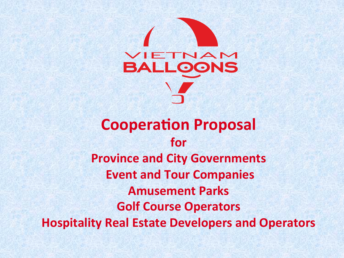

### **Cooperation Proposal** for **Province and City Governments Event and Tour Companies Amusement Parks Golf Course Operators Hospitality Real Estate Developers and Operators**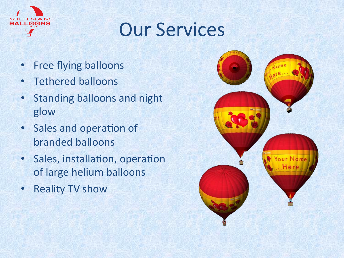

## **Our Services**

- Free flying balloons
- Tethered balloons
- Standing balloons and night glow
- Sales and operation of branded balloons
- Sales, installation, operation of large helium balloons
- Reality TV show

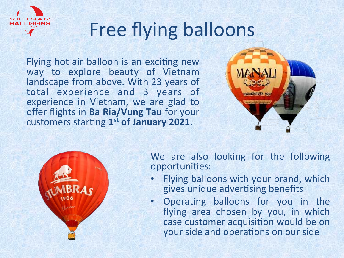

# Free flying balloons

Flying hot air balloon is an exciting new way to explore beauty of Vietnam landscape from above. With 23 years of total experience and 3 years of experience in Vietnam, we are glad to offer flights in **Ba Ria/Vung Tau** for your customers starting 1<sup>st</sup> of January 2021.





We are also looking for the following opportunities:

- Flying balloons with your brand, which gives unique advertising benefits
- Operating balloons for you in the flying area chosen by you, in which case customer acquisition would be on your side and operations on our side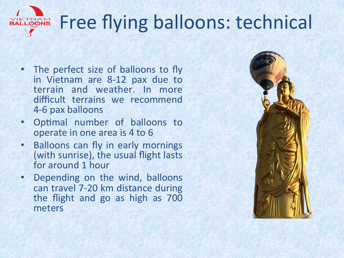### Free flying balloons: technical **VIETNAM**

- The perfect size of balloons to fly in Vietnam are 8-12 pax due to terrain and weather. In more difficult terrains we recommend 4-6 pax balloons
- Optimal number of balloons to operate in one area is 4 to 6
- Balloons can fly in early mornings (with sunrise), the usual flight lasts for around 1 hour
- Depending on the wind, balloons can travel 7-20 km distance during the flight and go as high as 700 meters

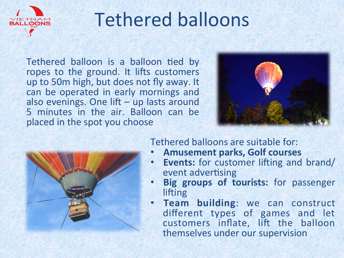

## Tethered balloons

Tethered balloon is a balloon tied by ropes to the ground. It lifts customers up to 50m high, but does not fly away. It can be operated in early mornings and also evenings. One lift  $-$  up lasts around 5 minutes in the air. Balloon can be placed in the spot you choose





Tethered balloons are suitable for:

- **Amusement parks, Golf courses**
- **Events:** for customer lifting and brand/ event advertising
- **Big groups of tourists:** for passenger lifting
- **Team building:** we can construct different types of games and let customers inflate, lift the balloon themselves under our supervision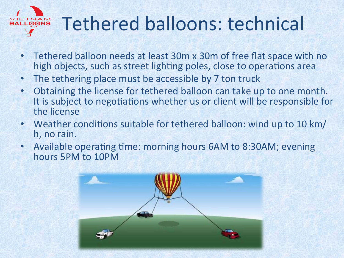

# Tethered balloons: technical

- Tethered balloon needs at least 30m x 30m of free flat space with no high objects, such as street lighting poles, close to operations area
- The tethering place must be accessible by 7 ton truck
- Obtaining the license for tethered balloon can take up to one month. It is subject to negotiations whether us or client will be responsible for the license
- Weather conditions suitable for tethered balloon: wind up to 10 km/ h, no rain.
- Available operating time: morning hours 6AM to 8:30AM; evening hours 5PM to 10PM

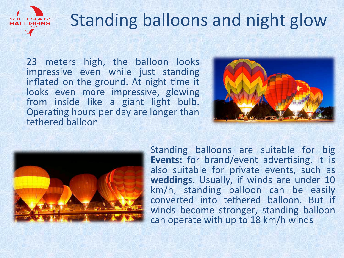

## Standing balloons and night glow

23 meters high, the balloon looks impressive even while just standing inflated on the ground. At night time it looks even more impressive, glowing from inside like a giant light bulb. Operating hours per day are longer than tethered balloon 





Standing balloons are suitable for big Events: for brand/event advertising. It is also suitable for private events, such as weddings. Usually, if winds are under 10 km/h, standing balloon can be easily converted into tethered balloon. But if winds become stronger, standing balloon can operate with up to 18 km/h winds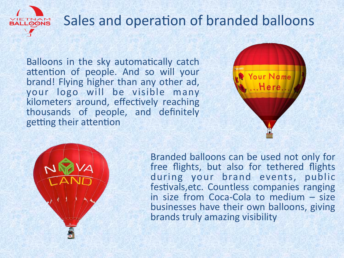

### Sales and operation of branded balloons

Balloons in the sky automatically catch attention of people. And so will your brand! Flying higher than any other ad, your logo will be visible many kilometers around, effectively reaching thousands of people, and definitely getting their attention





Branded balloons can be used not only for free flights, but also for tethered flights during your brand events, public festivals, etc. Countless companies ranging in size from Coca-Cola to medium  $-$  size businesses have their own balloons, giving brands truly amazing visibility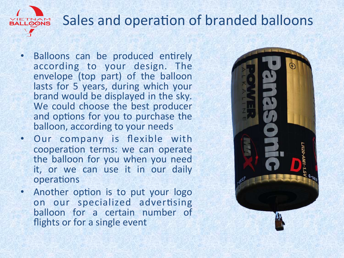#### Sales and operation of branded balloons **ITNAM**<br>LOONS

- Balloons can be produced entirely according to your design. The envelope (top part) of the balloon lasts for 5 years, during which your brand would be displayed in the sky. We could choose the best producer and options for you to purchase the balloon, according to your needs
- Our company is flexible with cooperation terms: we can operate the balloon for you when you need it, or we can use it in our daily operations
- Another option is to put your logo on our specialized advertising balloon for a certain number of flights or for a single event

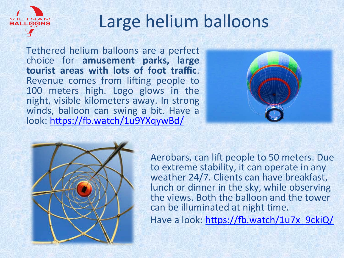

Tethered helium balloons are a perfect choice for amusement parks, large tourist areas with lots of foot traffic. Revenue comes from lifting people to 100 meters high. Logo glows in the night, visible kilometers away. In strong winds, balloon can swing a bit. Have a look: https://fb.watch/1u9YXqywBd/





Aerobars, can lift people to 50 meters. Due to extreme stability, it can operate in any weather 24/7. Clients can have breakfast, lunch or dinner in the sky, while observing the views. Both the balloon and the tower can be illuminated at night time. Have a look: https://fb.watch/1u7x\_9ckiQ/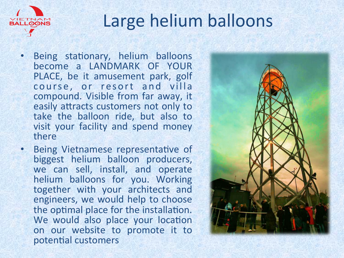

### Large helium balloons

- Being stationary, helium balloons become a LANDMARK OF YOUR PLACE, be it amusement park, golf course, or resort and villa compound. Visible from far away, it easily attracts customers not only to take the balloon ride, but also to visit your facility and spend money there
- Being Vietnamese representative of biggest helium balloon producers, we can sell, install, and operate helium balloons for you. Working together with your architects and engineers, we would help to choose the optimal place for the installation. We would also place your location on our website to promote it to potential customers

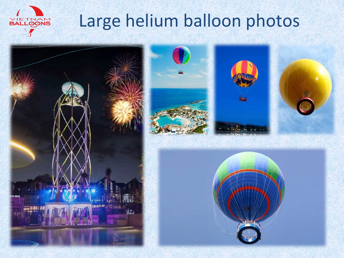

### Large helium balloon photos





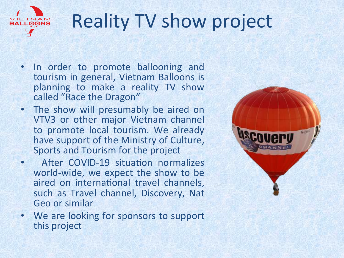

# **Reality TV show project**

- In order to promote ballooning and tourism in general, Vietnam Balloons is planning to make a reality TV show called "Race the Dragon"
- The show will presumably be aired on VTV3 or other major Vietnam channel to promote local tourism. We already have support of the Ministry of Culture, Sports and Tourism for the project
- After COVID-19 situation normalizes world-wide, we expect the show to be aired on international travel channels, such as Travel channel, Discovery, Nat Geo or similar
- We are looking for sponsors to support this project

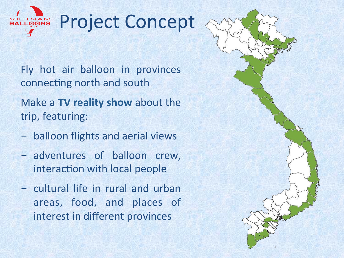

Fly hot air balloon in provinces connecting north and south

Make a TV reality show about the trip, featuring:

- balloon flights and aerial views
- adventures of balloon crew, interaction with local people
- cultural life in rural and urban areas, food, and places of interest in different provinces

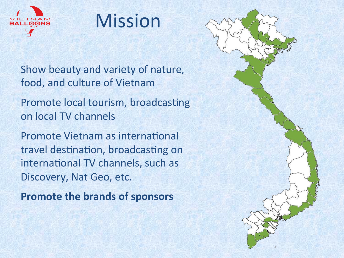

### Mission

Show beauty and variety of nature, food, and culture of Vietnam

Promote local tourism, broadcasting on local TV channels

Promote Vietnam as international travel destination, broadcasting on international TV channels, such as Discovery, Nat Geo, etc.

**Promote the brands of sponsors** 

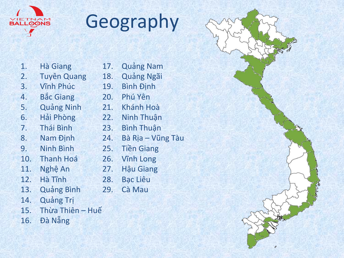

# Geography

| 1.  | <b>Hà Giang</b>    |
|-----|--------------------|
| 2.  | <b>Tuyên Quang</b> |
| 3.  | <b>Vinh Phúc</b>   |
| 4.  | <b>Bắc Giang</b>   |
| 5.  | <b>Quảng Ninh</b>  |
| 6.  | Hải Phòng          |
| 7.  | Thái Bình          |
| 8.  | <b>Nam Định</b>    |
| 9.  | <b>Ninh Bình</b>   |
| 10. | <b>Thanh Hoá</b>   |
| 11. | Nghệ An            |
| 12. | Hà Tĩnh            |
| 13. | <b>Quảng Bình</b>  |
| 14. | <b>Quảng Trị</b>   |
| 15. | Thừa Thiên - Huế   |
|     |                    |

- 17. Quảng Nam 18. Quảng Ngãi 19. Bình Định 20. Phú Yên 21. Khánh Hoà 22. Ninh Thuận 23. Bình Thuận 24. Bà Rịa – Vũng Tàu 25. Tiền Giang 26. Vĩnh Long 27. Hậu Giang 28. Bạc Liêu 29. Cà Mau
- 16. Đà Nẵng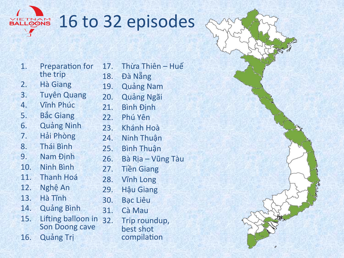

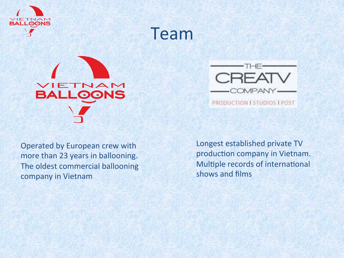

Team 





PRODUCTION I STUDIOS I POST

Operated by European crew with more than 23 years in ballooning. The oldest commercial ballooning company in Vietnam

Longest established private TV production company in Vietnam. Multiple records of international shows and films